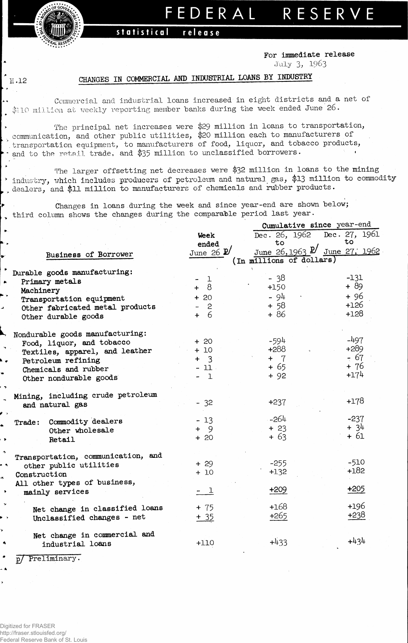

## **FEDERA L RESERV E**

# statistical release

**For immediate release** July 3,

### **11.12**

,

 $\overline{ }$ 

**CHANGES IN COMMERCIAL AND INDUSTRIAL LOANS BY INDUSTRY**

Commercial and industrial loans increased in eight districts and a net of \$110 million at weekly reporting member banks during the week ended June 26.

The principal net increases were \$29 million in loans to transportation, communication, and other public utilities, \$20 million each to manufacturers of .transportation equipment, to manufacturers of food, liquor, and tobacco products, and to the retail trade, and \$35 million to unclassified borrowers.

The larger offsetting net decreases were \$32 million in loans to the mining industry, which includes producers of petroleum and natural gas, \$13 million to commodity dealers, and \$11 million to manufacturers of chemicals and rubber products.

Changes in loans during the week and since year-end are shown below; third column shows the changes during the comparable period last year.

|                                          |                      | Cumulative since year-end                                                                                  |               |  |  |  |  |  |
|------------------------------------------|----------------------|------------------------------------------------------------------------------------------------------------|---------------|--|--|--|--|--|
|                                          | Week                 | Dec. 26, 1962                                                                                              | Dec. 27, 1961 |  |  |  |  |  |
|                                          | ended                | to                                                                                                         | to.           |  |  |  |  |  |
| Business of Borrower                     | June 26 $\cancel{p}$ | $\frac{100}{500}$ $\frac{100}{26,1963}$ $\frac{p}{3}$ $\frac{100}{300}$ $\frac{100}{27}$ $\frac{1962}{27}$ |               |  |  |  |  |  |
|                                          |                      | (In millions of dollars)                                                                                   |               |  |  |  |  |  |
| Durable goods manufacturing:             |                      |                                                                                                            |               |  |  |  |  |  |
| Primary metals                           | $-1$                 | $-38$                                                                                                      | $-131$        |  |  |  |  |  |
| Machinery                                | $+ 8$                | $+150$                                                                                                     | $+89$         |  |  |  |  |  |
| Transportation equipment                 | $+20$                | - 94                                                                                                       | $+96$         |  |  |  |  |  |
| Other fabricated metal products          | $\mathbf{c}$         | $+ 58$                                                                                                     | $+126$        |  |  |  |  |  |
| Other durable goods                      | $+6$                 | $+86$                                                                                                      | $+128$        |  |  |  |  |  |
|                                          |                      |                                                                                                            |               |  |  |  |  |  |
| Nondurable goods manufacturing:          |                      |                                                                                                            |               |  |  |  |  |  |
| Food, liquor, and tobacco                | $+20$                | -594                                                                                                       | $-497$        |  |  |  |  |  |
| Textiles, apparel, and leather           | $+10$                | +288                                                                                                       | $+289$        |  |  |  |  |  |
| Petroleum refining                       | $+ 3$                | $+$ 7                                                                                                      | $-67$         |  |  |  |  |  |
| Chemicals and rubber                     | $-11.$               | $+65$                                                                                                      | + 76          |  |  |  |  |  |
| Other nondurable goods                   | $-1$                 | $+92$                                                                                                      | $+174$        |  |  |  |  |  |
|                                          |                      |                                                                                                            |               |  |  |  |  |  |
| Mining, including crude petroleum        |                      |                                                                                                            |               |  |  |  |  |  |
| and natural gas                          | $-32$                | $+237$                                                                                                     | $+178$        |  |  |  |  |  |
|                                          |                      |                                                                                                            |               |  |  |  |  |  |
| Trade: Commodity dealers                 | $-13$                | $-264$                                                                                                     | $-237$        |  |  |  |  |  |
| Other wholesale                          | $+ 9$                | $+23$                                                                                                      | $+34$         |  |  |  |  |  |
| Retail                                   | $+20$                | $+63$                                                                                                      | $+61$         |  |  |  |  |  |
|                                          |                      |                                                                                                            |               |  |  |  |  |  |
| Transportation, communication, and       |                      |                                                                                                            |               |  |  |  |  |  |
| other public utilities                   | $+29$                | $-255$                                                                                                     | $-510$        |  |  |  |  |  |
| Construction<br>a,                       | $+10$                | $+1.32$                                                                                                    | $+182$        |  |  |  |  |  |
| All other types of business,             |                      |                                                                                                            |               |  |  |  |  |  |
| mainly services<br>$\blacktriangleright$ | - 1                  | $+209$                                                                                                     | $+205$        |  |  |  |  |  |
|                                          |                      |                                                                                                            |               |  |  |  |  |  |
| Net change in classified loans           | $+ 75$               | $+168$                                                                                                     | $+196$        |  |  |  |  |  |
| Unclassified changes - net               | $+35$                | $+265$                                                                                                     | +238          |  |  |  |  |  |
| Net change in commercial and             |                      |                                                                                                            |               |  |  |  |  |  |
| industrial loans                         | $+110$               | $+433$                                                                                                     | $+434$        |  |  |  |  |  |
|                                          |                      |                                                                                                            |               |  |  |  |  |  |
| Preliminary.                             |                      |                                                                                                            |               |  |  |  |  |  |